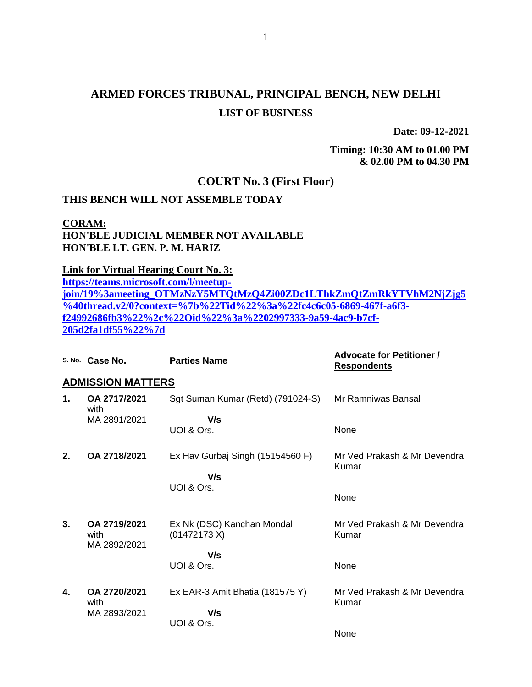## **ARMED FORCES TRIBUNAL, PRINCIPAL BENCH, NEW DELHI LIST OF BUSINESS**

**Date: 09-12-2021**

**Timing: 10:30 AM to 01.00 PM & 02.00 PM to 04.30 PM**

## **COURT No. 3 (First Floor)**

## **THIS BENCH WILL NOT ASSEMBLE TODAY**

## **CORAM: HON'BLE JUDICIAL MEMBER NOT AVAILABLE HON'BLE LT. GEN. P. M. HARIZ**

**Link for Virtual Hearing Court No. 3: [https://teams.microsoft.com/l/meetup](https://teams.microsoft.com/l/meetup-join/19%3ameeting_OTMzNzY5MTQtMzQ4Zi00ZDc1LThkZmQtZmRkYTVhM2NjZjg5%40thread.v2/0?context=%7b%22Tid%22%3a%22fc4c6c05-6869-467f-a6f3-f24992686fb3%22%2c%22Oid%22%3a%2202997333-9a59-4ac9-b7cf-205d2fa1df55%22%7d)[join/19%3ameeting\\_OTMzNzY5MTQtMzQ4Zi00ZDc1LThkZmQtZmRkYTVhM2NjZjg5](https://teams.microsoft.com/l/meetup-join/19%3ameeting_OTMzNzY5MTQtMzQ4Zi00ZDc1LThkZmQtZmRkYTVhM2NjZjg5%40thread.v2/0?context=%7b%22Tid%22%3a%22fc4c6c05-6869-467f-a6f3-f24992686fb3%22%2c%22Oid%22%3a%2202997333-9a59-4ac9-b7cf-205d2fa1df55%22%7d) [%40thread.v2/0?context=%7b%22Tid%22%3a%22fc4c6c05-6869-467f-a6f3](https://teams.microsoft.com/l/meetup-join/19%3ameeting_OTMzNzY5MTQtMzQ4Zi00ZDc1LThkZmQtZmRkYTVhM2NjZjg5%40thread.v2/0?context=%7b%22Tid%22%3a%22fc4c6c05-6869-467f-a6f3-f24992686fb3%22%2c%22Oid%22%3a%2202997333-9a59-4ac9-b7cf-205d2fa1df55%22%7d) [f24992686fb3%22%2c%22Oid%22%3a%2202997333-9a59-4ac9-b7cf-](https://teams.microsoft.com/l/meetup-join/19%3ameeting_OTMzNzY5MTQtMzQ4Zi00ZDc1LThkZmQtZmRkYTVhM2NjZjg5%40thread.v2/0?context=%7b%22Tid%22%3a%22fc4c6c05-6869-467f-a6f3-f24992686fb3%22%2c%22Oid%22%3a%2202997333-9a59-4ac9-b7cf-205d2fa1df55%22%7d)[205d2fa1df55%22%7d](https://teams.microsoft.com/l/meetup-join/19%3ameeting_OTMzNzY5MTQtMzQ4Zi00ZDc1LThkZmQtZmRkYTVhM2NjZjg5%40thread.v2/0?context=%7b%22Tid%22%3a%22fc4c6c05-6869-467f-a6f3-f24992686fb3%22%2c%22Oid%22%3a%2202997333-9a59-4ac9-b7cf-205d2fa1df55%22%7d)**

|                          | S. No. Case No.                      | <b>Parties Name</b>                        | <b>Advocate for Petitioner /</b><br><b>Respondents</b> |  |  |
|--------------------------|--------------------------------------|--------------------------------------------|--------------------------------------------------------|--|--|
| <b>ADMISSION MATTERS</b> |                                      |                                            |                                                        |  |  |
| 1.                       | OA 2717/2021<br>with                 | Sgt Suman Kumar (Retd) (791024-S)          | Mr Ramniwas Bansal                                     |  |  |
|                          | MA 2891/2021                         | V/s                                        |                                                        |  |  |
|                          |                                      | UOI & Ors.                                 | None                                                   |  |  |
| 2.                       | OA 2718/2021                         | Ex Hav Gurbaj Singh (15154560 F)           | Mr Ved Prakash & Mr Devendra<br>Kumar                  |  |  |
|                          |                                      | V/s                                        |                                                        |  |  |
|                          |                                      | UOI & Ors.                                 | None                                                   |  |  |
| 3.                       | OA 2719/2021<br>with<br>MA 2892/2021 | Ex Nk (DSC) Kanchan Mondal<br>(01472173 X) | Mr Ved Prakash & Mr Devendra<br>Kumar                  |  |  |
|                          |                                      | V/s                                        |                                                        |  |  |
|                          |                                      | UOI & Ors.                                 | None                                                   |  |  |
| 4.                       | OA 2720/2021<br>with                 | Ex EAR-3 Amit Bhatia (181575 Y)            | Mr Ved Prakash & Mr Devendra<br>Kumar                  |  |  |
|                          | MA 2893/2021                         | V/s                                        |                                                        |  |  |
|                          |                                      | UOI & Ors.                                 |                                                        |  |  |
|                          |                                      |                                            | None                                                   |  |  |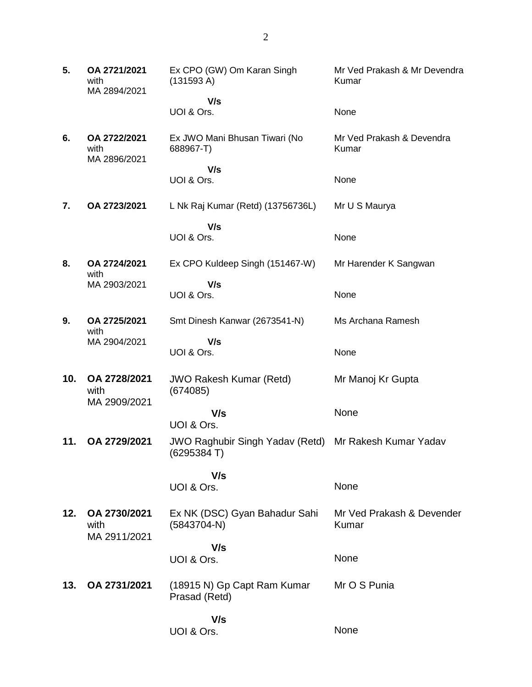**5. OA 2721/2021** with MA 2894/2021 Ex CPO (GW) Om Karan Singh (131593 A)  **V/s** UOI & Ors. Mr Ved Prakash & Mr Devendra Kumar None **6. OA 2722/2021** with MA 2896/2021 Ex JWO Mani Bhusan Tiwari (No 688967-T)  **V/s** UOI & Ors. Mr Ved Prakash & Devendra Kumar None **7. OA 2723/2021** L Nk Raj Kumar (Retd) (13756736L)  **V/s** UOI & Ors. Mr U S Maurya None **8. OA 2724/2021** with MA 2903/2021 Ex CPO Kuldeep Singh (151467-W)  **V/s** UOI & Ors. Mr Harender K Sangwan None **9. OA 2725/2021** with MA 2904/2021 Smt Dinesh Kanwar (2673541-N)  **V/s** UOI & Ors. Ms Archana Ramesh None **10. OA 2728/2021** with MA 2909/2021 JWO Rakesh Kumar (Retd) (674085)  **V/s** UOI & Ors. Mr Manoj Kr Gupta **None 11. OA 2729/2021** JWO Raghubir Singh Yadav (Retd) Mr Rakesh Kumar Yadav (6295384 T)  **V/s** UOI & Ors. None **12. OA 2730/2021** with MA 2911/2021 Ex NK (DSC) Gyan Bahadur Sahi (5843704-N)  **V/s** UOI & Ors. Mr Ved Prakash & Devender Kumar None **13. OA 2731/2021** (18915 N) Gp Capt Ram Kumar Prasad (Retd)  **V/s** UOI & Ors. Mr O S Punia None